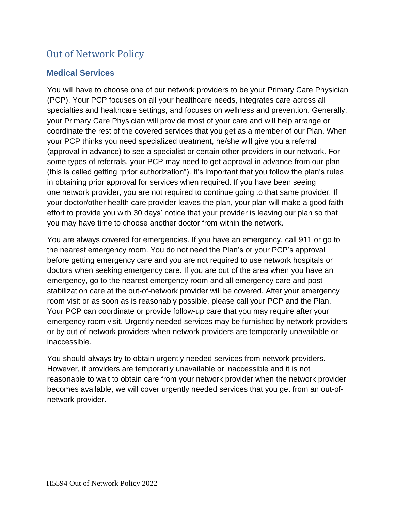# Out of Network Policy

### **Medical Services**

You will have to choose one of our network providers to be your Primary Care Physician (PCP). Your PCP focuses on all your healthcare needs, integrates care across all specialties and healthcare settings, and focuses on wellness and prevention. Generally, your Primary Care Physician will provide most of your care and will help arrange or coordinate the rest of the covered services that you get as a member of our Plan. When your PCP thinks you need specialized treatment, he/she will give you a referral (approval in advance) to see a specialist or certain other providers in our network. For some types of referrals, your PCP may need to get approval in advance from our plan (this is called getting "prior authorization"). It's important that you follow the plan's rules in obtaining prior approval for services when required. If you have been seeing one network provider, you are not required to continue going to that same provider. If your doctor/other health care provider leaves the plan, your plan will make a good faith effort to provide you with 30 days' notice that your provider is leaving our plan so that you may have time to choose another doctor from within the network.

You are always covered for emergencies. If you have an emergency, call 911 or go to the nearest emergency room. You do not need the Plan's or your PCP's approval before getting emergency care and you are not required to use network hospitals or doctors when seeking emergency care. If you are out of the area when you have an emergency, go to the nearest emergency room and all emergency care and poststabilization care at the out-of-network provider will be covered. After your emergency room visit or as soon as is reasonably possible, please call your PCP and the Plan. Your PCP can coordinate or provide follow-up care that you may require after your emergency room visit. Urgently needed services may be furnished by network providers or by out-of-network providers when network providers are temporarily unavailable or inaccessible.

You should always try to obtain urgently needed services from network providers. However, if providers are temporarily unavailable or inaccessible and it is not reasonable to wait to obtain care from your network provider when the network provider becomes available, we will cover urgently needed services that you get from an out-ofnetwork provider.